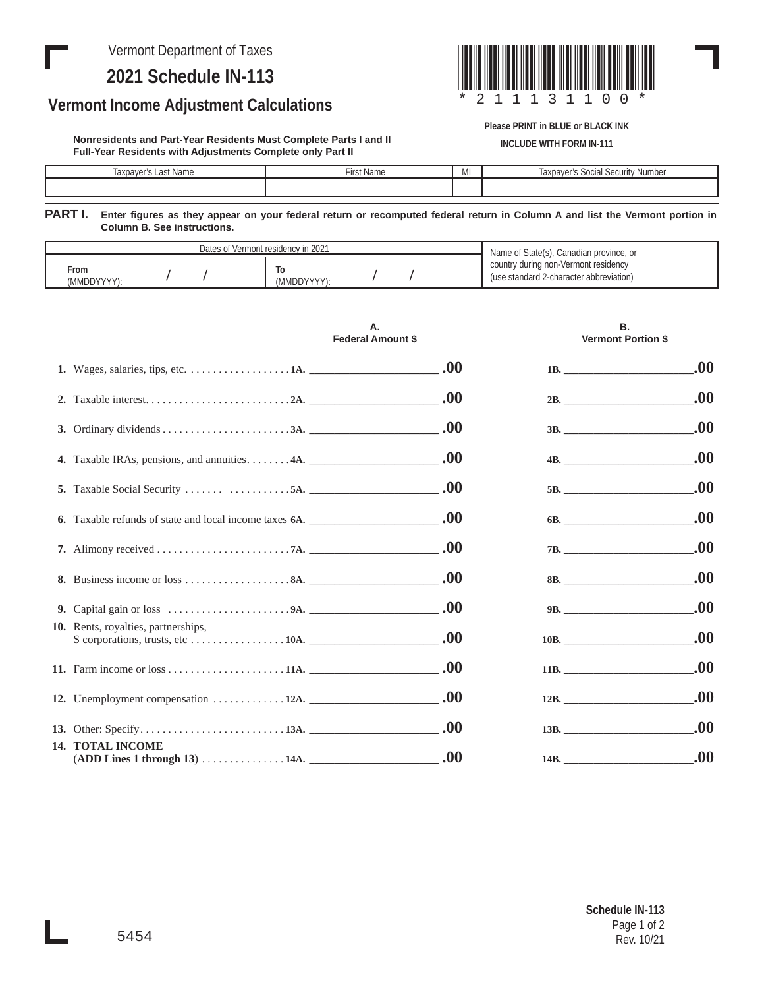Vermont Department of Taxes

## **2021 Schedule IN-113**

## **Vermont Income Adjustment Calculations**

**Nonresidents and Part-Year Residents Must Complete Parts I and II Full-Year Residents with Adjustments Complete only Part II**



**Please PRINT in BLUE or BLACK INK**

**INCLUDE WITH FORM IN-111**

| <b>Name</b><br>laxpayer's<br>. not | $\sim$ 10 mm.<br>τι δι ιναπισ | MI | <b>Number</b><br>laxpaver <sup>®</sup><br>$C$ $C$ $C$ $C$ $D$ $D$ $D$ $D$ $D$ $D$<br>0.010<br>suudi<br><u>vuu</u> |
|------------------------------------|-------------------------------|----|-------------------------------------------------------------------------------------------------------------------|
|                                    |                               |    |                                                                                                                   |
|                                    |                               |    |                                                                                                                   |

**PART I. Enter figures as they appear on your federal return or recomputed federal return in Column A and list the Vermont portion in Column B. See instructions.**

| Dates of Vermont residency in 2021 | Name of State(s), Canadian province, or |                                         |
|------------------------------------|-----------------------------------------|-----------------------------------------|
| From                               | I٥                                      | country during non-Vermont residency    |
| (MMDDYYYY):                        | (MMDDYYYY):                             | (use standard 2-character abbreviation) |

|  |                                                                | Α.<br><b>Federal Amount \$</b> | В.<br><b>Vermont Portion \$</b>                                                                                                                                                                                                     |      |
|--|----------------------------------------------------------------|--------------------------------|-------------------------------------------------------------------------------------------------------------------------------------------------------------------------------------------------------------------------------------|------|
|  | 1. Wages, salaries, tips, etc. 1A.                             |                                | 1B.                                                                                                                                                                                                                                 | .00. |
|  |                                                                |                                |                                                                                                                                                                                                                                     | .00  |
|  |                                                                |                                | 3B.                                                                                                                                                                                                                                 | .00. |
|  | 4. Taxable IRAs, pensions, and annuities4A. $\qquad \qquad 00$ |                                | $\overline{\text{4B.}}$                                                                                                                                                                                                             | .00. |
|  | 5. Taxable Social Security $5A.$                               |                                | 5B.                                                                                                                                                                                                                                 | .00. |
|  |                                                                |                                | 6B.                                                                                                                                                                                                                                 | .00. |
|  |                                                                |                                | 7B.                                                                                                                                                                                                                                 | .00. |
|  |                                                                |                                | 8B.                                                                                                                                                                                                                                 | .00. |
|  |                                                                |                                | 9B.                                                                                                                                                                                                                                 | .00. |
|  | 10. Rents, royalties, partnerships,                            |                                | 10B.                                                                                                                                                                                                                                | .00. |
|  |                                                                | .00.                           | 11B.                                                                                                                                                                                                                                | .00. |
|  | 12. Unemployment compensation  12A.                            | .00.                           | 12B.                                                                                                                                                                                                                                | .00. |
|  |                                                                | .00.                           | 13B.                                                                                                                                                                                                                                | .00. |
|  | <b>14. TOTAL INCOME</b><br>(ADD Lines 1 through 13)  14A.      | .00.                           | <b>14B.</b> The contract of the contract of the contract of the contract of the contract of the contract of the contract of the contract of the contract of the contract of the contract of the contract of the contract of the con | .00. |